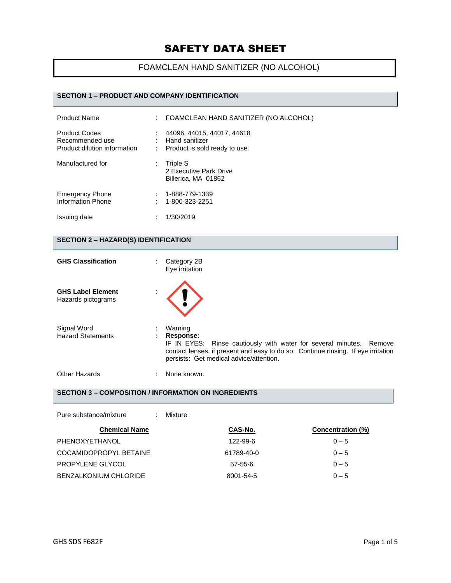### FOAMCLEAN HAND SANITIZER (NO ALCOHOL)

#### **SECTION 1 – PRODUCT AND COMPANY IDENTIFICATION**

| <b>Product Name</b>                                                     | t i | FOAMCLEAN HAND SANITIZER (NO ALCOHOL)                                         |
|-------------------------------------------------------------------------|-----|-------------------------------------------------------------------------------|
| <b>Product Codes</b><br>Recommended use<br>Product dilution information |     | 44096, 44015, 44017, 44618<br>Hand sanitizer<br>Product is sold ready to use. |
| Manufactured for                                                        |     | Triple S<br>2 Executive Park Drive<br>Billerica, MA 01862                     |
| <b>Emergency Phone</b><br>Information Phone                             |     | 1-888-779-1339<br>1-800-323-2251                                              |
| Issuing date                                                            |     | 1/30/2019                                                                     |

### **SECTION 2 – HAZARD(S) IDENTIFICATION**

| <b>GHS Classification</b>                      | Category 2B<br>÷.<br>Eye irritation                                                                                                                                                                                         |
|------------------------------------------------|-----------------------------------------------------------------------------------------------------------------------------------------------------------------------------------------------------------------------------|
| <b>GHS Label Element</b><br>Hazards pictograms |                                                                                                                                                                                                                             |
| Signal Word<br><b>Hazard Statements</b>        | Warning<br>Response:<br>IF IN EYES: Rinse cautiously with water for several minutes. Remove<br>contact lenses, if present and easy to do so. Continue rinsing. If eye irritation<br>persists: Get medical advice/attention. |
| Other Hazards                                  | None known.                                                                                                                                                                                                                 |

### **SECTION 3 – COMPOSITION / INFORMATION ON INGREDIENTS**

| Pure substance/mixture  | Mixture    |                   |
|-------------------------|------------|-------------------|
| <b>Chemical Name</b>    | CAS-No.    | Concentration (%) |
| PHENOXYETHANOL          | 122-99-6   | $0 - 5$           |
| COCAMIDOPROPYL BETAINE  | 61789-40-0 | $0 - 5$           |
| <b>PROPYLENE GLYCOL</b> | 57-55-6    | $0 - 5$           |
| BENZALKONIUM CHLORIDE   | 8001-54-5  | $0 - 5$           |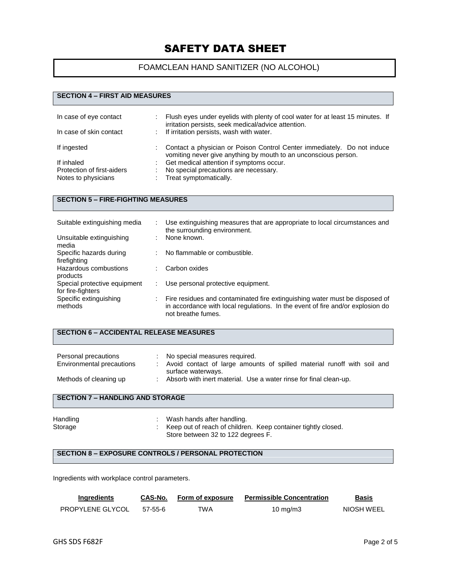### FOAMCLEAN HAND SANITIZER (NO ALCOHOL)

#### **SECTION 4 – FIRST AID MEASURES**

| In case of eye contact<br>In case of skin contact | Flush eyes under eyelids with plenty of cool water for at least 15 minutes. If<br>irritation persists, seek medical/advice attention.<br>: If irritation persists, wash with water. |
|---------------------------------------------------|-------------------------------------------------------------------------------------------------------------------------------------------------------------------------------------|
| If ingested                                       | Contact a physician or Poison Control Center immediately. Do not induce<br>vomiting never give anything by mouth to an unconscious person.                                          |
| If inhaled                                        | Get medical attention if symptoms occur.                                                                                                                                            |
| Protection of first-aiders                        | No special precautions are necessary.                                                                                                                                               |
| Notes to physicians                               | Treat symptomatically.                                                                                                                                                              |

#### **SECTION 5 – FIRE-FIGHTING MEASURES**

| Suitable extinguishing media                      |   | Use extinguishing measures that are appropriate to local circumstances and<br>the surrounding environment.                                                                          |
|---------------------------------------------------|---|-------------------------------------------------------------------------------------------------------------------------------------------------------------------------------------|
| Unsuitable extinguishing<br>media                 | ٠ | None known.                                                                                                                                                                         |
| Specific hazards during<br>firefighting           | ÷ | No flammable or combustible.                                                                                                                                                        |
| Hazardous combustions<br>products                 | ٠ | Carbon oxides                                                                                                                                                                       |
| Special protective equipment<br>for fire-fighters |   | Use personal protective equipment.                                                                                                                                                  |
| Specific extinguishing<br>methods                 |   | Fire residues and contaminated fire extinguishing water must be disposed of<br>in accordance with local regulations. In the event of fire and/or explosion do<br>not breathe fumes. |

### **SECTION 6 – ACCIDENTAL RELEASE MEASURES**

| Personal precautions<br>Environmental precautions | No special measures required.<br>Avoid contact of large amounts of spilled material runoff with soil and<br>surface waterways. |
|---------------------------------------------------|--------------------------------------------------------------------------------------------------------------------------------|
| Methods of cleaning up                            | Absorb with inert material. Use a water rinse for final clean-up.                                                              |

### **SECTION 7 – HANDLING AND STORAGE**

| Handling | Wash hands after handling.                                      |  |
|----------|-----------------------------------------------------------------|--|
| Storage  | : Keep out of reach of children. Keep container tightly closed. |  |
|          | Store between 32 to 122 degrees F.                              |  |

#### **SECTION 8 – EXPOSURE CONTROLS / PERSONAL PROTECTION**

Ingredients with workplace control parameters.

| Ingredients             | CAS-No. | Form of exposure | <b>Permissible Concentration</b> | <b>Basis</b> |
|-------------------------|---------|------------------|----------------------------------|--------------|
| <b>PROPYLENE GLYCOL</b> | 57-55-6 | TWA              | 10 mg/m $3$                      | NIOSH WEEL   |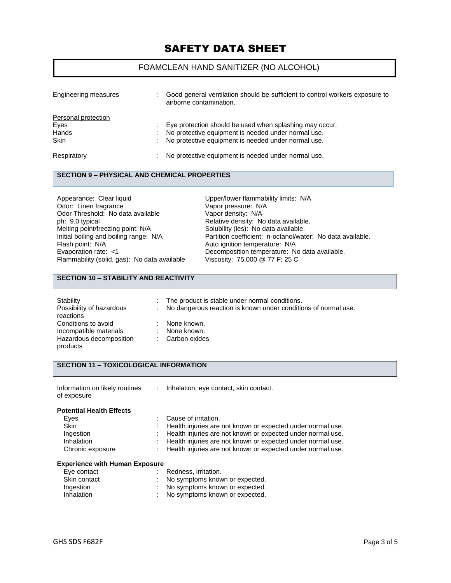#### FOAMCLEAN HAND SANITIZER (NO ALCOHOL)

| Engineering measures | Good general ventilation should be sufficient to control workers exposure to<br>airborne contamination. |
|----------------------|---------------------------------------------------------------------------------------------------------|
| Personal protection  |                                                                                                         |
| Eyes                 | Eye protection should be used when splashing may occur.                                                 |
| Hands                | No protective equipment is needed under normal use.                                                     |
| <b>Skin</b>          | No protective equipment is needed under normal use.                                                     |
| Respiratory          | No protective equipment is needed under normal use.                                                     |

#### **SECTION 9 – PHYSICAL AND CHEMICAL PROPERTIES**

Appearance: Clear liquid Upper/lower flammability limits: N/A<br>
Odor: Linen fragrance Clear Clear Control Vapor pressure: N/A Odor: Linen fragrance Odor Threshold: No data available Vapor density: N/A<br>
ph: 9.0 typical Capaca Relative density: No Melting point/freezing point: N/A<br>Initial boiling and boiling range: N/A Flash point: N/A<br>
Evaporation rate: <1 (a) Auto ignition temperature: N/A<br>
Decomposition temperature: N Flammability (solid, gas): No data available

Relative density: No data available.<br>Solubility (ies): No data available. Initial boiling and boiling range: N/A Partition coefficient: n-octanol/water: No data available.<br>Flash point: N/A **Partition in the Auto ignition temperature: N/A** Decomposition temperature: No data available.<br>Viscosity: 75,000 @ 77 F; 25 C

#### **SECTION 10 – STABILITY AND REACTIVITY**

| Stability                | The product is stable under normal conditions.                   |
|--------------------------|------------------------------------------------------------------|
| Possibility of hazardous | : No dangerous reaction is known under conditions of normal use. |
| reactions                |                                                                  |
| Conditions to avoid      | None known.                                                      |
| Incompatible materials   | None known.                                                      |
| Hazardous decomposition  | Carbon oxides                                                    |
| products                 |                                                                  |

#### **SECTION 11 – TOXICOLOGICAL INFORMATION**

| Information on likely routines | Inhalation, eye contact, skin contact. |
|--------------------------------|----------------------------------------|
| of exposure                    |                                        |

| <b>Potential Health Effects</b> |                                                               |
|---------------------------------|---------------------------------------------------------------|
| Eves                            | : Cause of irritation.                                        |
| <b>Skin</b>                     | : Health injuries are not known or expected under normal use. |
| Ingestion                       | : Health injuries are not known or expected under normal use. |
| Inhalation                      | : Health injuries are not known or expected under normal use. |
| Chronic exposure                | : Health injuries are not known or expected under normal use. |
|                                 |                                                               |

#### **Experience with Human Exposure**

| Eye contact  | Redness, irritation.             |
|--------------|----------------------------------|
| Skin contact | : No symptoms known or expected. |
| Ingestion    | : No symptoms known or expected. |
| Inhalation   | No symptoms known or expected.   |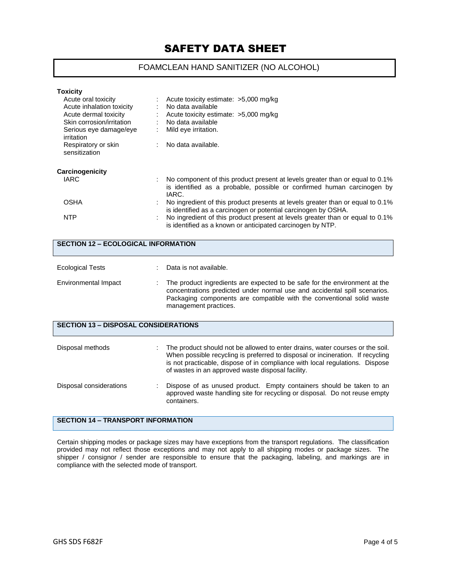### FOAMCLEAN HAND SANITIZER (NO ALCOHOL)

| <b>Toxicity</b>                      |   |                                                                                                                                                                 |
|--------------------------------------|---|-----------------------------------------------------------------------------------------------------------------------------------------------------------------|
| Acute oral toxicity                  |   | Acute toxicity estimate: >5,000 mg/kg                                                                                                                           |
| Acute inhalation toxicity            |   | No data available                                                                                                                                               |
| Acute dermal toxicity                |   | Acute toxicity estimate: >5,000 mg/kg                                                                                                                           |
| Skin corrosion/irritation            |   | No data available                                                                                                                                               |
| Serious eye damage/eye<br>irritation |   | Mild eye irritation.                                                                                                                                            |
| Respiratory or skin<br>sensitization |   | No data available.                                                                                                                                              |
| Carcinogenicity                      |   |                                                                                                                                                                 |
| IARC                                 |   | No component of this product present at levels greater than or equal to 0.1%<br>is identified as a probable, possible or confirmed human carcinogen by<br>IARC. |
| OSHA                                 | ٠ | No ingredient of this product presents at levels greater than or equal to 0.1%<br>is identified as a carcinogen or potential carcinogen by OSHA.                |
| <b>NTP</b>                           |   | No ingredient of this product present at levels greater than or equal to 0.1%<br>is identified as a known or anticipated carcinogen by NTP.                     |

| <b>SECTION 12 - ECOLOGICAL INFORMATION</b>  |  |                                                                                                                                                                                                                                                                                                      |  |  |
|---------------------------------------------|--|------------------------------------------------------------------------------------------------------------------------------------------------------------------------------------------------------------------------------------------------------------------------------------------------------|--|--|
| <b>Ecological Tests</b>                     |  | Data is not available.                                                                                                                                                                                                                                                                               |  |  |
| Environmental Impact                        |  | The product ingredients are expected to be safe for the environment at the<br>concentrations predicted under normal use and accidental spill scenarios.<br>Packaging components are compatible with the conventional solid waste<br>management practices.                                            |  |  |
| <b>SECTION 13 - DISPOSAL CONSIDERATIONS</b> |  |                                                                                                                                                                                                                                                                                                      |  |  |
| Disposal methods                            |  | The product should not be allowed to enter drains, water courses or the soil.<br>When possible recycling is preferred to disposal or incineration. If recycling<br>is not practicable, dispose of in compliance with local regulations. Dispose<br>of wastes in an approved waste disposal facility. |  |  |
| Disposal considerations                     |  | Dispose of as unused product. Empty containers should be taken to an<br>approved waste handling site for recycling or disposal. Do not reuse empty<br>containers.                                                                                                                                    |  |  |
| <b>SECTION 14 - TRANSPORT INFORMATION</b>   |  |                                                                                                                                                                                                                                                                                                      |  |  |

Certain shipping modes or package sizes may have exceptions from the transport regulations. The classification provided may not reflect those exceptions and may not apply to all shipping modes or package sizes. The shipper / consignor / sender are responsible to ensure that the packaging, labeling, and markings are in compliance with the selected mode of transport.